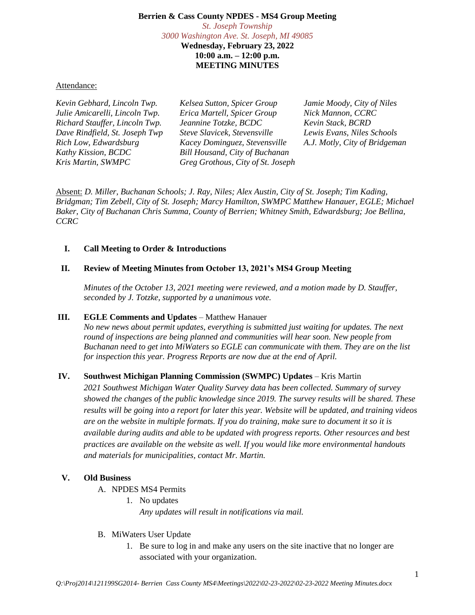#### **Berrien & Cass County NPDES - MS4 Group Meeting** *St. Joseph Township 3000 Washington Ave. St. Joseph, MI 49085* **Wednesday, February 23, 2022**

**10:00 a.m. – 12:00 p.m. MEETING MINUTES**

Attendance:

| Kevin Gebhard, Lincoln Twp.    | Kelsea Sutton, Spicer Group       | Jamie Moody, City of Niles    |
|--------------------------------|-----------------------------------|-------------------------------|
| Julie Amicarelli, Lincoln Twp. | Erica Martell, Spicer Group       | Nick Mannon, CCRC             |
| Richard Stauffer, Lincoln Twp. | Jeannine Totzke, BCDC             | Kevin Stack, BCRD             |
| Dave Rindfield, St. Joseph Twp | Steve Slavicek, Stevensville      | Lewis Evans, Niles Schools    |
| Rich Low, Edwardsburg          | Kacey Dominguez, Stevensville     | A.J. Motly, City of Bridgeman |
| Kathy Kission, BCDC            | Bill Housand, City of Buchanan    |                               |
| Kris Martin, SWMPC             | Greg Grothous, City of St. Joseph |                               |
|                                |                                   |                               |

Absent: *D. Miller, Buchanan Schools; J. Ray, Niles; Alex Austin, City of St. Joseph; Tim Kading, Bridgman; Tim Zebell, City of St. Joseph; Marcy Hamilton, SWMPC Matthew Hanauer, EGLE; Michael Baker, City of Buchanan Chris Summa, County of Berrien; Whitney Smith, Edwardsburg; Joe Bellina, CCRC*

### **I. Call Meeting to Order & Introductions**

## **II. Review of Meeting Minutes from October 13, 2021's MS4 Group Meeting**

*Minutes of the October 13, 2021 meeting were reviewed, and a motion made by D. Stauffer, seconded by J. Totzke, supported by a unanimous vote.*

### **III. EGLE Comments and Updates** – Matthew Hanauer

*No new news about permit updates, everything is submitted just waiting for updates. The next round of inspections are being planned and communities will hear soon. New people from Buchanan need to get into MiWaters so EGLE can communicate with them. They are on the list for inspection this year. Progress Reports are now due at the end of April.*

# **IV. Southwest Michigan Planning Commission (SWMPC) Updates** – Kris Martin

*2021 Southwest Michigan Water Quality Survey data has been collected. Summary of survey showed the changes of the public knowledge since 2019. The survey results will be shared. These results will be going into a report for later this year. Website will be updated, and training videos are on the website in multiple formats. If you do training, make sure to document it so it is available during audits and able to be updated with progress reports. Other resources and best practices are available on the website as well. If you would like more environmental handouts and materials for municipalities, contact Mr. Martin.*

### **V. Old Business**

- A. NPDES MS4 Permits
	- 1. No updates *Any updates will result in notifications via mail.*
- B. MiWaters User Update
	- 1. Be sure to log in and make any users on the site inactive that no longer are associated with your organization.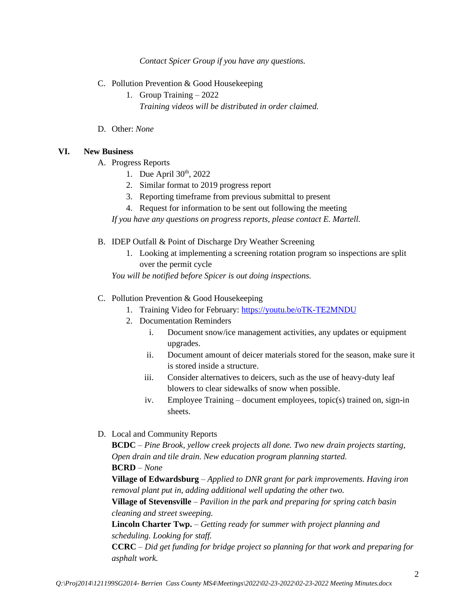*Contact Spicer Group if you have any questions.*

- C. Pollution Prevention & Good Housekeeping
	- 1. Group Training 2022 *Training videos will be distributed in order claimed.*
- D. Other: *None*

### **VI. New Business**

- A. Progress Reports
	- 1. Due April  $30<sup>th</sup>$ , 2022
	- 2. Similar format to 2019 progress report
	- 3. Reporting timeframe from previous submittal to present
	- 4. Request for information to be sent out following the meeting

*If you have any questions on progress reports, please contact E. Martell.* 

- B. IDEP Outfall & Point of Discharge Dry Weather Screening
	- 1. Looking at implementing a screening rotation program so inspections are split over the permit cycle

*You will be notified before Spicer is out doing inspections.*

#### C. Pollution Prevention & Good Housekeeping

- 1. Training Video for February:<https://youtu.be/oTK-TE2MNDU>
- 2. Documentation Reminders
	- i. Document snow/ice management activities, any updates or equipment upgrades.
	- ii. Document amount of deicer materials stored for the season, make sure it is stored inside a structure.
	- iii. Consider alternatives to deicers, such as the use of heavy-duty leaf blowers to clear sidewalks of snow when possible.
	- iv. Employee Training document employees, topic(s) trained on, sign-in sheets.
- D. Local and Community Reports

**BCDC** – *Pine Brook, yellow creek projects all done. Two new drain projects starting, Open drain and tile drain. New education program planning started.*

#### **BCRD** – *None*

**Village of Edwardsburg** – *Applied to DNR grant for park improvements. Having iron removal plant put in, adding additional well updating the other two.* 

**Village of Stevensville** – *Pavilion in the park and preparing for spring catch basin cleaning and street sweeping.* 

**Lincoln Charter Twp.** – *Getting ready for summer with project planning and scheduling. Looking for staff.* 

**CCRC** – *Did get funding for bridge project so planning for that work and preparing for asphalt work.*